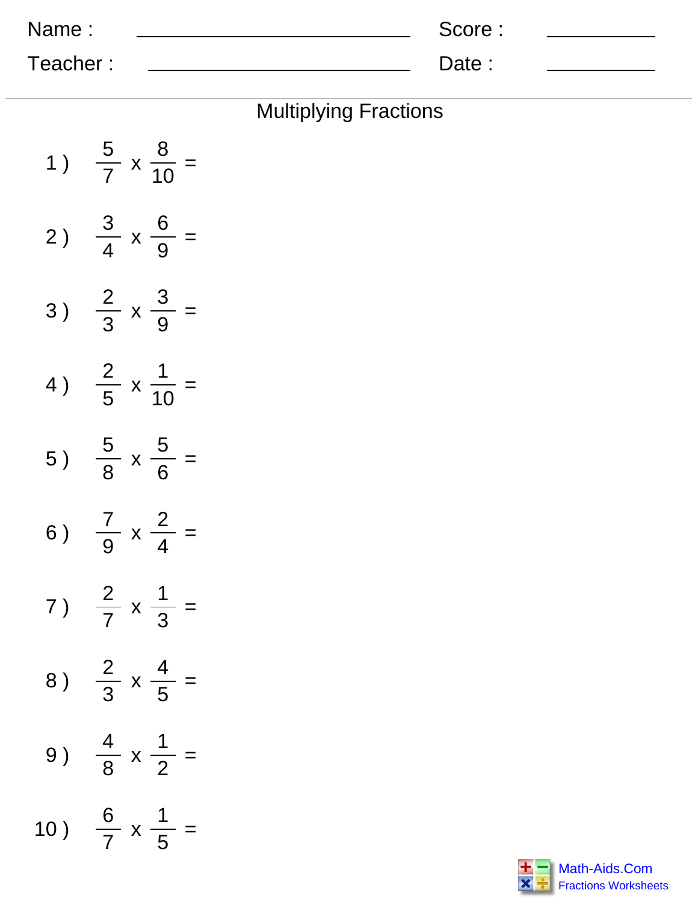| Name:    | Score: |  |
|----------|--------|--|
| Teacher: | Date:  |  |

| <b>Multiplying Fractions</b> |  |
|------------------------------|--|
|------------------------------|--|

| 1)  |                               | $\frac{5}{7}$ x $\frac{8}{10}$ =   |
|-----|-------------------------------|------------------------------------|
| 2)  |                               | $\frac{3}{4} \times \frac{6}{9} =$ |
| 3)  |                               | $\frac{2}{3}$ x $\frac{3}{9}$ =    |
| 4)  |                               | $\frac{2}{5}$ x $\frac{1}{10}$ =   |
| 5)  |                               | $\frac{5}{8}$ x $\frac{5}{6}$ =    |
| 6)  |                               | $\frac{7}{9}$ x $\frac{2}{4}$ =    |
| 7 ) |                               | $\frac{2}{7}$ x $\frac{1}{3}$ =    |
| 8)  |                               | $\frac{2}{3}$ x $\frac{4}{5}$ =    |
| 9)  |                               | $\frac{4}{8}$ x $\frac{1}{2}$ =    |
| 10) | $\frac{6}{7}$ x $\frac{1}{5}$ |                                    |